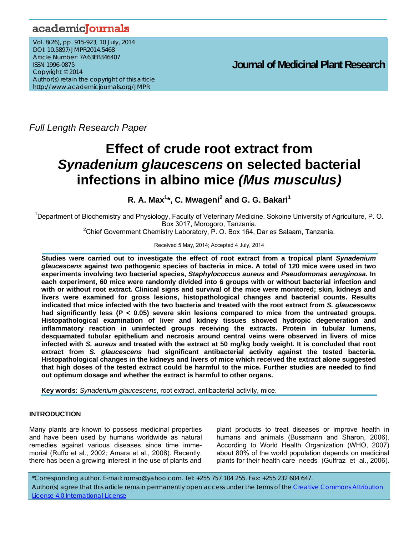# academicJournals

Vol. 8(26), pp. 915-923, 10 July, 2014 DOI: 10.5897/JMPR2014.5468 Article Number: 7A63EB346407 ISSN 1996-0875 Copyright © 2014 Author(s) retain the copyright of this article http://www.academicjournals.org/JMPR

 **Journal of Medicinal Plant Research**

*Full Length Research Paper*

# **Effect of crude root extract from**  *Synadenium glaucescens* **on selected bacterial infections in albino mice** *(Mus musculus)*

**R. A. Max1 \*, C. Mwageni<sup>2</sup> and G. G. Bakari1**

<sup>1</sup>Department of Biochemistry and Physiology, Faculty of Veterinary Medicine, Sokoine University of Agriculture, P.O. Box 3017, Morogoro, Tanzania.<br>Chief Government Chemistry Laboratory, P. O. Box 164, Dar es Salaam, Tanzania.

# Received 5 May, 2014; Accepted 4 July, 2014

**Studies were carried out to investigate the effect of root extract from a tropical plant** *Synadenium glaucescens* **against two pathogenic species of bacteria in mice. A total of 120 mice were used in two experiments involving two bacterial species,** *Staphylococcus aureus* **and** *Pseudomonas aeruginosa***. In each experiment, 60 mice were randomly divided into 6 groups with or without bacterial infection and with or without root extract. Clinical signs and survival of the mice were monitored; skin, kidneys and livers were examined for gross lesions, histopathological changes and bacterial counts. Results indicated that mice infected with the two bacteria and treated with the root extract from** *S. glaucescens* **had significantly less (P < 0.05) severe skin lesions compared to mice from the untreated groups. Histopathological examination of liver and kidney tissues showed hydropic degeneration and inflammatory reaction in uninfected groups receiving the extracts. Protein in tubular lumens, desquamated tubular epithelium and necrosis around central veins were observed in livers of mice infected with** *S. aureus* **and treated with the extract at 50 mg/kg body weight. It is concluded that root extract from** *S. glaucescens* **had significant antibacterial activity against the tested bacteria. Histopathological changes in the kidneys and livers of mice which received the extract alone suggested that high doses of the tested extract could be harmful to the mice. Further studies are needed to find out optimum dosage and whether the extract is harmful to other organs.** 

**Key words:** *Synadenium glaucescens*, root extract, antibacterial activity, mice.

# **INTRODUCTION**

Many plants are known to possess medicinal properties and have been used by humans worldwide as natural remedies against various diseases since time immemorial (Ruffo et al., 2002; Amara et al., 2008). Recently, there has been a growing interest in the use of plants and

plant products to treat diseases or improve health in humans and animals (Bussmann and Sharon, 2006). According to World Health Organization (WHO, 2007) about 80% of the world population depends on medicinal plants for their health care needs (Gulfraz et al., 2006).

\*Corresponding author. E-mail: romso@yahoo.com. Tel: +255 757 104 255. Fax: +255 232 604 647. Author(s) agree that this article remain permanently open access under the terms of the Creative Commons Attribution License 4.0 International License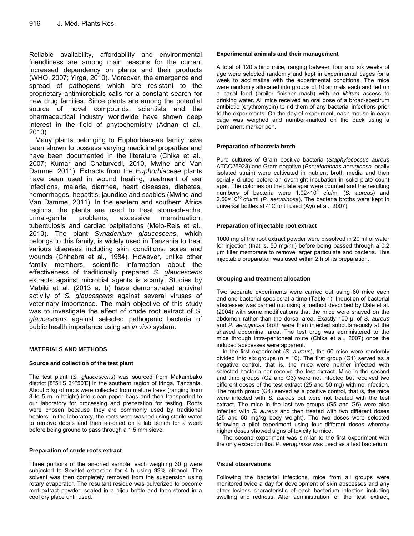Reliable availability, affordability and environmental friendliness are among main reasons for the current increased dependency on plants and their products (WHO, 2007; Yirga, 2010). Moreover, the emergence and spread of pathogens which are resistant to the proprietary antimicrobials calls for a constant search for new drug families. Since plants are among the potential source of novel compounds, scientists and the pharmaceutical industry worldwide have shown deep interest in the field of phytochemistry (Adnan et al., 2010).

Many plants belonging to Euphorbiaceae family have been shown to possess varying medicinal properties and have been documented in the literature (Chika et al., 2007; Kumar and Chaturvedi, 2010, Mwine and Van Damme, 2011). Extracts from the *Euphorbiaceae* plants have been used in wound healing, treatment of ear infections, malaria, diarrhea, heart diseases, diabetes, hemorrhages, hepatitis, jaundice and scabies (Mwine and Van Damme, 2011). In the eastern and southern Africa regions, the plants are used to treat stomach-ache, urinal-genital problems, excessive menstruation, tuberculosis and cardiac palpitations (Melo-Reis et al., 2010). The plant *Synadenium glaucescens*, which belongs to this family, is widely used in Tanzania to treat various diseases including skin conditions, sores and wounds (Chhabra et al., 1984). However, unlike other family members, scientific information about the effectiveness of traditionally prepared *S. glaucescens* extracts against microbial agents is scanty. Studies by Mabiki et al. (2013 a, b) have demonstrated antiviral activity of *S. glaucescens* against several viruses of veterinary importance. The main objective of this study was to investigate the effect of crude root extract of *S. glaucescens* against selected pathogenic bacteria of public health importance using an *in vivo* system.

# **MATERIALS AND METHODS**

#### **Source and collection of the test plant**

The test plant (*S. glaucescens*) was sourced from Makambako district [8°51′S 34°50′E] in the southern region of Iringa, Tanzania. About 5 kg of roots were collected from mature trees (ranging from 3 to 5 m in height) into clean paper bags and then transported to our laboratory for processing and preparation for testing. Roots were chosen because they are commonly used by traditional healers. In the laboratory, the roots were washed using sterile water to remove debris and then air-dried on a lab bench for a week before being ground to pass through a 1.5 mm sieve.

# **Preparation of crude roots extract**

Three portions of the air-dried sample, each weighing 30 g were subjected to Soxhlet extraction for 4 h using 99% ethanol. The solvent was then completely removed from the suspension using rotary evaporator. The resultant residue was pulverized to become root extract powder, sealed in a bijou bottle and then stored in a cool dry place until used.

#### **Experimental animals and their management**

A total of 120 albino mice, ranging between four and six weeks of age were selected randomly and kept in experimental cages for a week to acclimatize with the experimental conditions. The mice were randomly allocated into groups of 10 animals each and fed on a basal feed (broiler finisher mash) with *ad libitum* access to drinking water. All mice received an oral dose of a broad-spectrum antibiotic (erythromycin) to rid them of any bacterial infections prior to the experiments. On the day of experiment, each mouse in each cage was weighed and number-marked on the back using a permanent marker pen.

#### **Preparation of bacteria broth**

Pure cultures of Gram positive bacteria (*Staphylococcus aureus*  ATCC25923) and Gram negative (*Pseudomonas aeruginosa* locally isolated strain) were cultivated in nutrient broth media and then serially diluted before an overnight incubation in solid plate count agar. The colonies on the plate agar were counted and the resulting numbers of bacteria were 1.02×10<sup>9</sup> cfu/ml (*S. aureus*) and 2.60×1010 cfu/ml (*P. aeruginosa*). The bacteria broths were kept in universal bottles at 4°C until used (Ayo et al., 2007).

#### **Preparation of injectable root extract**

1000 mg of the root extract powder were dissolved in 20 ml of water for injection (that is, 50 mg/ml) before being passed through a 0.2 µm filter membrane to remove larger particulate and bacteria. This injectable preparation was used within 2 h of its preparation.

#### **Grouping and treatment allocation**

Two separate experiments were carried out using 60 mice each and one bacterial species at a time (Table 1). Induction of bacterial abscesses was carried out using a method described by Dale et al. (2004) with some modifications that the mice were shaved on the abdomen rather than the dorsal area. Exactly 100 μl of *S. aureus* and *P. aeruginosa* broth were then injected subcutaneously at the shaved abdominal area. The test drug was administered to the mice through intra-peritoneal route (Chika et al., 2007) once the induced abscesses were apparent.

In the first experiment (*S. aureus*), the 60 mice were randomly divided into six groups ( $n = 10$ ). The first group (G1) served as a negative control, that is, the mice were neither infected with selected bacteria nor receive the test extract. Mice in the second and third groups (G2 and G3) were not infected but received two different doses of the test extract (25 and 50 mg) with no infection. The fourth group (G4) served as a positive control, that is, the mice were infected with *S. aureus* but were not treated with the test extract. The mice in the last two groups (G5 and G6) were also infected with *S. aureus* and then treated with two different doses (25 and 50 mg/kg body weight). The two doses were selected following a pilot experiment using four different doses whereby higher doses showed signs of toxicity to mice.

The second experiment was similar to the first experiment with the only exception that *P. aeruginosa* was used as a test bacterium.

#### **Visual observations**

Following the bacterial infections, mice from all groups were monitored twice a day for development of skin abscesses and any other lesions characteristic of each bacterium infection including swelling and redness. After administration of the test extract,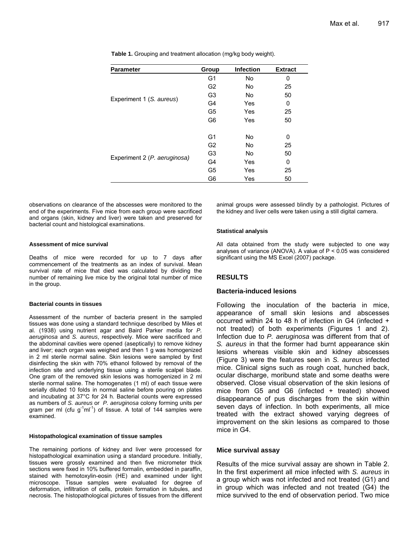| <b>Parameter</b>             | Group          | <b>Infection</b> | <b>Extract</b> |
|------------------------------|----------------|------------------|----------------|
|                              | G1             | No               | 0              |
|                              | G <sub>2</sub> | No               | 25             |
|                              | G <sub>3</sub> | No.              | 50             |
| Experiment 1 (S. aureus)     | G4             | Yes              | 0              |
|                              | G <sub>5</sub> | Yes              | 25             |
|                              | G <sub>6</sub> | Yes              | 50             |
|                              |                |                  |                |
|                              | G <sub>1</sub> | No               | 0              |
|                              | G <sub>2</sub> | No               | 25             |
|                              | G <sub>3</sub> | No               | 50             |
| Experiment 2 (P. aeruginosa) | G4             | Yes              | 0              |
|                              | G5             | Yes              | 25             |
|                              | G <sub>6</sub> | Yes              | 50             |

**Table 1.** Grouping and treatment allocation (mg/kg body weight).

observations on clearance of the abscesses were monitored to the end of the experiments. Five mice from each group were sacrificed and organs (skin, kidney and liver) were taken and preserved for bacterial count and histological examinations.

#### **Assessment of mice survival**

Deaths of mice were recorded for up to 7 days after commencement of the treatments as an index of survival. Mean survival rate of mice that died was calculated by dividing the number of remaining live mice by the original total number of mice in the group.

#### **Bacterial counts in tissues**

Assessment of the number of bacteria present in the sampled tissues was done using a standard technique described by Miles et al. (1938) using nutrient agar and Baird Parker media for *P. aeruginosa* and *S. aureus*, respectively. Mice were sacrificed and the abdominal cavities were opened (aseptically) to remove kidney and liver; each organ was weighed and then 1 g was homogenized in 2 ml sterile normal saline. Skin lesions were sampled by first disinfecting the skin with 70% ethanol followed by removal of the infection site and underlying tissue using a sterile scalpel blade. One gram of the removed skin lesions was homogenized in 2 ml sterile normal saline. The homogenates (1 ml) of each tissue were serially diluted 10 folds in normal saline before pouring on plates and incubating at 37°C for 24 h. Bacterial counts were expressed as numbers of *S. aureus* or *P. aeruginosa* colony forming units per gram per ml (cfu  $g^{-1}$ ml<sup>-1</sup>) of tissue. A total of 144 samples were examined.

#### **Histopathological examination of tissue samples**

The remaining portions of kidney and liver were processed for histopathological examination using a standard procedure. Initially, tissues were grossly examined and then five micrometer thick sections were fixed in 10% buffered formalin, embedded in paraffin, stained with hemotoxylin-eosin (HE) and examined under light microscope. Tissue samples were evaluated for degree of deformation, infiltration of cells, protein formation in tubules, and necrosis. The histopathological pictures of tissues from the different animal groups were assessed blindly by a pathologist. Pictures of the kidney and liver cells were taken using a still digital camera.

#### **Statistical analysis**

All data obtained from the study were subjected to one way analyses of variance (ANOVA). A value of P < 0.05 was considered significant using the MS Excel (2007) package.

# **RESULTS**

# **Bacteria-induced lesions**

Following the inoculation of the bacteria in mice, appearance of small skin lesions and abscesses occurred within 24 to 48 h of infection in G4 (infected + not treated) of both experiments (Figures 1 and 2). Infection due to *P. aeruginosa* was different from that of *S. aureus* in that the former had burnt appearance skin lesions whereas visible skin and kidney abscesses (Figure 3) were the features seen in *S. aureus* infected mice. Clinical signs such as rough coat, hunched back, ocular discharge, moribund state and some deaths were observed. Close visual observation of the skin lesions of mice from G5 and G6 (infected + treated) showed disappearance of pus discharges from the skin within seven days of infection. In both experiments, all mice treated with the extract showed varying degrees of improvement on the skin lesions as compared to those mice in G4.

### **Mice survival assay**

Results of the mice survival assay are shown in Table 2. In the first experiment all mice infected with *S. aureus* in a group which was not infected and not treated (G1) and in group which was infected and not treated (G4) the mice survived to the end of observation period. Two mice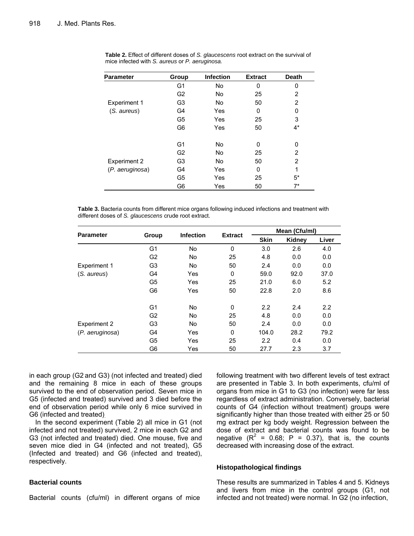| <b>Parameter</b>    | Group          | <b>Infection</b> | <b>Extract</b> | <b>Death</b> |
|---------------------|----------------|------------------|----------------|--------------|
|                     | G1             | No               | 0              | 0            |
|                     | G <sub>2</sub> | <b>No</b>        | 25             | 2            |
| <b>Experiment 1</b> | G3             | <b>No</b>        | 50             | 2            |
| (S. aureus)         | G4             | Yes              | 0              | 0            |
|                     | G5             | Yes              | 25             | 3            |
|                     | G6             | Yes              | 50             | 4*           |
|                     |                |                  |                |              |
|                     | G1             | No               | ŋ              | O            |
|                     | G <sub>2</sub> | <b>No</b>        | 25             | 2            |
| <b>Experiment 2</b> | G3             | <b>No</b>        | 50             | 2            |
| (P. aeruginosa)     | G4             | Yes              | 0              | 1            |
|                     | G5             | Yes              | 25             | 5*           |
|                     | G6             | Yes              | 50             | $7^*$        |

**Table 2.** Effect of different doses of *S. glaucescens* root extract on the survival of mice infected with *S. aureus* or *P. aeruginosa.*

**Table 3.** Bacteria counts from different mice organs following induced infections and treatment with different doses of *S. glaucescens* crude root extract.

| <b>Parameter</b>    |                | <b>Infection</b> | <b>Extract</b> | Mean (Cfu/ml) |        |       |
|---------------------|----------------|------------------|----------------|---------------|--------|-------|
|                     | Group          |                  |                | <b>Skin</b>   | Kidnev | Liver |
|                     | G <sub>1</sub> | <b>No</b>        | $\mathbf 0$    | 3.0           | 2.6    | 4.0   |
|                     | G <sub>2</sub> | <b>No</b>        | 25             | 4.8           | 0.0    | 0.0   |
| <b>Experiment 1</b> | G3             | No.              | 50             | 2.4           | 0.0    | 0.0   |
| (S. aureus)         | G4             | Yes              | 0              | 59.0          | 92.0   | 37.0  |
|                     | G5             | Yes              | 25             | 21.0          | 6.0    | 5.2   |
|                     | G <sub>6</sub> | Yes              | 50             | 22.8          | 2.0    | 8.6   |
|                     | G1             | <b>No</b>        | 0              | 2.2           | 2.4    | 2.2   |
|                     | G <sub>2</sub> | No.              | 25             | 4.8           | 0.0    | 0.0   |
| <b>Experiment 2</b> | G3             | <b>No</b>        | 50             | 2.4           | 0.0    | 0.0   |
| (P. aeruginosa)     | G4             | Yes              | $\mathbf{0}$   | 104.0         | 28.2   | 79.2  |
|                     | G5             | Yes              | 25             | 2.2           | 0.4    | 0.0   |
|                     | G6             | Yes              | 50             | 27.7          | 2.3    | 3.7   |

in each group (G2 and G3) (not infected and treated) died and the remaining 8 mice in each of these groups survived to the end of observation period. Seven mice in G5 (infected and treated) survived and 3 died before the end of observation period while only 6 mice survived in G6 (infected and treated).

In the second experiment (Table 2) all mice in G1 (not infected and not treated) survived, 2 mice in each G2 and G3 (not infected and treated) died. One mouse, five and seven mice died in G4 (infected and not treated), G5 (Infected and treated) and G6 (infected and treated), respectively.

# **Bacterial counts**

Bacterial counts (cfu/ml) in different organs of mice

following treatment with two different levels of test extract are presented in Table 3. In both experiments, cfu/ml of organs from mice in G1 to G3 (no infection) were far less regardless of extract administration. Conversely, bacterial counts of G4 (infection without treatment) groups were significantly higher than those treated with either 25 or 50 mg extract per kg body weight. Regression between the dose of extract and bacterial counts was found to be negative ( $R^2$  = 0.68; P = 0.37), that is, the counts decreased with increasing dose of the extract.

# **Histopathological findings**

These results are summarized in Tables 4 and 5. Kidneys and livers from mice in the control groups (G1, not infected and not treated) were normal. In G2 (no infection,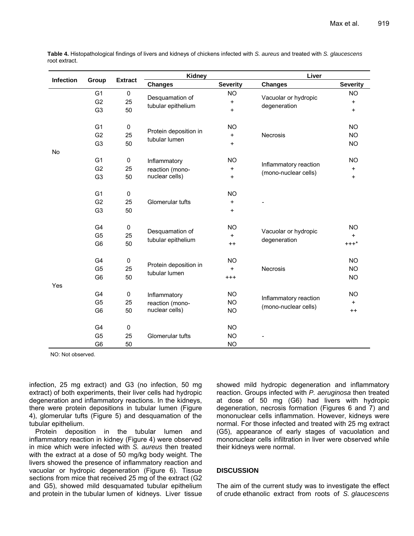| <b>Changes</b><br><b>Severity</b><br><b>Changes</b><br><b>Severity</b><br>G <sub>1</sub><br><b>NO</b><br><b>NO</b><br>$\mathbf 0$<br>Desquamation of<br>Vacuolar or hydropic<br>G <sub>2</sub><br>25<br>$\ddot{}$<br>$\ddot{}$<br>tubular epithelium<br>degeneration<br>G <sub>3</sub><br>50<br>$\ddot{}$<br>$\ddot{}$<br>G <sub>1</sub><br><b>NO</b><br><b>NO</b><br>0<br>Protein deposition in<br>G <sub>2</sub><br>25<br><b>NO</b><br><b>Necrosis</b><br>$\ddot{}$<br>tubular lumen<br>G <sub>3</sub><br>50<br><b>NO</b><br>+<br><b>No</b><br>G <sub>1</sub><br>0<br><b>NO</b><br><b>NO</b><br>Inflammatory<br>Inflammatory reaction<br>G <sub>2</sub><br>25<br>reaction (mono-<br>+<br>$\ddot{}$<br>(mono-nuclear cells)<br>G <sub>3</sub><br>50<br>nuclear cells)<br>$\ddot{}$<br>$\ddot{}$<br>G <sub>1</sub><br>$\pmb{0}$<br><b>NO</b><br>G <sub>2</sub><br>25<br>Glomerular tufts<br>$\ddot{}$<br>G <sub>3</sub><br>50<br>$\ddot{}$<br>G4<br><b>NO</b><br><b>NO</b><br>0<br>Desquamation of<br>Vacuolar or hydropic<br>G <sub>5</sub><br>25<br>$\ddot{}$<br>+<br>tubular epithelium<br>degeneration<br>G <sub>6</sub><br>50<br>$***$<br>$^{++}$<br>G <sub>4</sub><br><b>NO</b><br><b>NO</b><br>0<br>Protein deposition in<br>G <sub>5</sub><br>25<br>Necrosis<br><b>NO</b><br>$\ddot{}$<br>tubular lumen<br>G <sub>6</sub><br>50<br><b>NO</b><br>$^{+++}$<br>Yes<br>G <sub>4</sub><br>$\pmb{0}$<br><b>NO</b><br><b>NO</b><br>Inflammatory<br>Inflammatory reaction<br>G <sub>5</sub><br>25<br><b>NO</b><br>$\ddot{}$<br>reaction (mono-<br>(mono-nuclear cells)<br>nuclear cells)<br>G <sub>6</sub><br>50<br><b>NO</b><br>$^{\mathrm{+}}$<br>G <sub>4</sub><br>$\pmb{0}$<br><b>NO</b><br>G <sub>5</sub><br>25<br>Glomerular tufts<br><b>NO</b> | Infection |                |                | <b>Kidney</b> |           | Liver |  |
|-------------------------------------------------------------------------------------------------------------------------------------------------------------------------------------------------------------------------------------------------------------------------------------------------------------------------------------------------------------------------------------------------------------------------------------------------------------------------------------------------------------------------------------------------------------------------------------------------------------------------------------------------------------------------------------------------------------------------------------------------------------------------------------------------------------------------------------------------------------------------------------------------------------------------------------------------------------------------------------------------------------------------------------------------------------------------------------------------------------------------------------------------------------------------------------------------------------------------------------------------------------------------------------------------------------------------------------------------------------------------------------------------------------------------------------------------------------------------------------------------------------------------------------------------------------------------------------------------------------------------------------------------------------------------------------------------------------------------------------------------------|-----------|----------------|----------------|---------------|-----------|-------|--|
|                                                                                                                                                                                                                                                                                                                                                                                                                                                                                                                                                                                                                                                                                                                                                                                                                                                                                                                                                                                                                                                                                                                                                                                                                                                                                                                                                                                                                                                                                                                                                                                                                                                                                                                                                       |           | Group          | <b>Extract</b> |               |           |       |  |
|                                                                                                                                                                                                                                                                                                                                                                                                                                                                                                                                                                                                                                                                                                                                                                                                                                                                                                                                                                                                                                                                                                                                                                                                                                                                                                                                                                                                                                                                                                                                                                                                                                                                                                                                                       |           |                |                |               |           |       |  |
|                                                                                                                                                                                                                                                                                                                                                                                                                                                                                                                                                                                                                                                                                                                                                                                                                                                                                                                                                                                                                                                                                                                                                                                                                                                                                                                                                                                                                                                                                                                                                                                                                                                                                                                                                       |           |                |                |               |           |       |  |
|                                                                                                                                                                                                                                                                                                                                                                                                                                                                                                                                                                                                                                                                                                                                                                                                                                                                                                                                                                                                                                                                                                                                                                                                                                                                                                                                                                                                                                                                                                                                                                                                                                                                                                                                                       |           |                |                |               |           |       |  |
|                                                                                                                                                                                                                                                                                                                                                                                                                                                                                                                                                                                                                                                                                                                                                                                                                                                                                                                                                                                                                                                                                                                                                                                                                                                                                                                                                                                                                                                                                                                                                                                                                                                                                                                                                       |           |                |                |               |           |       |  |
|                                                                                                                                                                                                                                                                                                                                                                                                                                                                                                                                                                                                                                                                                                                                                                                                                                                                                                                                                                                                                                                                                                                                                                                                                                                                                                                                                                                                                                                                                                                                                                                                                                                                                                                                                       |           |                |                |               |           |       |  |
|                                                                                                                                                                                                                                                                                                                                                                                                                                                                                                                                                                                                                                                                                                                                                                                                                                                                                                                                                                                                                                                                                                                                                                                                                                                                                                                                                                                                                                                                                                                                                                                                                                                                                                                                                       |           |                |                |               |           |       |  |
|                                                                                                                                                                                                                                                                                                                                                                                                                                                                                                                                                                                                                                                                                                                                                                                                                                                                                                                                                                                                                                                                                                                                                                                                                                                                                                                                                                                                                                                                                                                                                                                                                                                                                                                                                       |           |                |                |               |           |       |  |
|                                                                                                                                                                                                                                                                                                                                                                                                                                                                                                                                                                                                                                                                                                                                                                                                                                                                                                                                                                                                                                                                                                                                                                                                                                                                                                                                                                                                                                                                                                                                                                                                                                                                                                                                                       |           |                |                |               |           |       |  |
|                                                                                                                                                                                                                                                                                                                                                                                                                                                                                                                                                                                                                                                                                                                                                                                                                                                                                                                                                                                                                                                                                                                                                                                                                                                                                                                                                                                                                                                                                                                                                                                                                                                                                                                                                       |           |                |                |               |           |       |  |
|                                                                                                                                                                                                                                                                                                                                                                                                                                                                                                                                                                                                                                                                                                                                                                                                                                                                                                                                                                                                                                                                                                                                                                                                                                                                                                                                                                                                                                                                                                                                                                                                                                                                                                                                                       |           |                |                |               |           |       |  |
|                                                                                                                                                                                                                                                                                                                                                                                                                                                                                                                                                                                                                                                                                                                                                                                                                                                                                                                                                                                                                                                                                                                                                                                                                                                                                                                                                                                                                                                                                                                                                                                                                                                                                                                                                       |           |                |                |               |           |       |  |
|                                                                                                                                                                                                                                                                                                                                                                                                                                                                                                                                                                                                                                                                                                                                                                                                                                                                                                                                                                                                                                                                                                                                                                                                                                                                                                                                                                                                                                                                                                                                                                                                                                                                                                                                                       |           |                |                |               |           |       |  |
|                                                                                                                                                                                                                                                                                                                                                                                                                                                                                                                                                                                                                                                                                                                                                                                                                                                                                                                                                                                                                                                                                                                                                                                                                                                                                                                                                                                                                                                                                                                                                                                                                                                                                                                                                       |           |                |                |               |           |       |  |
|                                                                                                                                                                                                                                                                                                                                                                                                                                                                                                                                                                                                                                                                                                                                                                                                                                                                                                                                                                                                                                                                                                                                                                                                                                                                                                                                                                                                                                                                                                                                                                                                                                                                                                                                                       |           |                |                |               |           |       |  |
|                                                                                                                                                                                                                                                                                                                                                                                                                                                                                                                                                                                                                                                                                                                                                                                                                                                                                                                                                                                                                                                                                                                                                                                                                                                                                                                                                                                                                                                                                                                                                                                                                                                                                                                                                       |           |                |                |               |           |       |  |
|                                                                                                                                                                                                                                                                                                                                                                                                                                                                                                                                                                                                                                                                                                                                                                                                                                                                                                                                                                                                                                                                                                                                                                                                                                                                                                                                                                                                                                                                                                                                                                                                                                                                                                                                                       |           |                |                |               |           |       |  |
|                                                                                                                                                                                                                                                                                                                                                                                                                                                                                                                                                                                                                                                                                                                                                                                                                                                                                                                                                                                                                                                                                                                                                                                                                                                                                                                                                                                                                                                                                                                                                                                                                                                                                                                                                       |           |                |                |               |           |       |  |
|                                                                                                                                                                                                                                                                                                                                                                                                                                                                                                                                                                                                                                                                                                                                                                                                                                                                                                                                                                                                                                                                                                                                                                                                                                                                                                                                                                                                                                                                                                                                                                                                                                                                                                                                                       |           |                |                |               |           |       |  |
|                                                                                                                                                                                                                                                                                                                                                                                                                                                                                                                                                                                                                                                                                                                                                                                                                                                                                                                                                                                                                                                                                                                                                                                                                                                                                                                                                                                                                                                                                                                                                                                                                                                                                                                                                       |           |                |                |               |           |       |  |
|                                                                                                                                                                                                                                                                                                                                                                                                                                                                                                                                                                                                                                                                                                                                                                                                                                                                                                                                                                                                                                                                                                                                                                                                                                                                                                                                                                                                                                                                                                                                                                                                                                                                                                                                                       |           |                |                |               |           |       |  |
|                                                                                                                                                                                                                                                                                                                                                                                                                                                                                                                                                                                                                                                                                                                                                                                                                                                                                                                                                                                                                                                                                                                                                                                                                                                                                                                                                                                                                                                                                                                                                                                                                                                                                                                                                       |           |                |                |               |           |       |  |
|                                                                                                                                                                                                                                                                                                                                                                                                                                                                                                                                                                                                                                                                                                                                                                                                                                                                                                                                                                                                                                                                                                                                                                                                                                                                                                                                                                                                                                                                                                                                                                                                                                                                                                                                                       |           |                |                |               |           |       |  |
|                                                                                                                                                                                                                                                                                                                                                                                                                                                                                                                                                                                                                                                                                                                                                                                                                                                                                                                                                                                                                                                                                                                                                                                                                                                                                                                                                                                                                                                                                                                                                                                                                                                                                                                                                       |           |                |                |               |           |       |  |
|                                                                                                                                                                                                                                                                                                                                                                                                                                                                                                                                                                                                                                                                                                                                                                                                                                                                                                                                                                                                                                                                                                                                                                                                                                                                                                                                                                                                                                                                                                                                                                                                                                                                                                                                                       |           |                |                |               |           |       |  |
|                                                                                                                                                                                                                                                                                                                                                                                                                                                                                                                                                                                                                                                                                                                                                                                                                                                                                                                                                                                                                                                                                                                                                                                                                                                                                                                                                                                                                                                                                                                                                                                                                                                                                                                                                       |           |                |                |               |           |       |  |
|                                                                                                                                                                                                                                                                                                                                                                                                                                                                                                                                                                                                                                                                                                                                                                                                                                                                                                                                                                                                                                                                                                                                                                                                                                                                                                                                                                                                                                                                                                                                                                                                                                                                                                                                                       |           | G <sub>6</sub> | 50             |               | <b>NO</b> |       |  |

**Table 4.** Histopathological findings of livers and kidneys of chickens infected with *S. aureus* and treated with *S. glaucescens*  root extract.

NO: Not observed.

infection, 25 mg extract) and G3 (no infection, 50 mg extract) of both experiments, their liver cells had hydropic degeneration and inflammatory reactions. In the kidneys, there were protein depositions in tubular lumen (Figure 4), glomerular tufts (Figure 5) and desquamation of the tubular epithelium.

Protein deposition in the tubular lumen and inflammatory reaction in kidney (Figure 4) were observed in mice which were infected with *S. aureus* then treated with the extract at a dose of 50 mg/kg body weight. The livers showed the presence of inflammatory reaction and vacuolar or hydropic degeneration (Figure 6). Tissue sections from mice that received 25 mg of the extract (G2 and G5), showed mild desquamated tubular epithelium and protein in the tubular lumen of kidneys. Liver tissue

showed mild hydropic degeneration and inflammatory reaction. Groups infected with *P. aeruginosa* then treated at dose of 50 mg (G6) had livers with hydropic degeneration, necrosis formation (Figures 6 and 7) and mononuclear cells inflammation. However, kidneys were normal. For those infected and treated with 25 mg extract (G5), appearance of early stages of vacuolation and mononuclear cells infiltration in liver were observed while their kidneys were normal.

# **DISCUSSION**

The aim of the current study was to investigate the effect of crude ethanolic extract from roots of *S. glaucescens*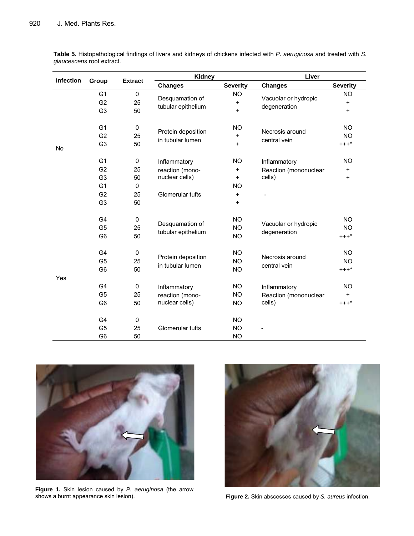| <b>Infection</b> |                                                                                                          |                                                  | <b>Kidney</b>                                                         |                                                               | Liver                                                           |                                                            |  |
|------------------|----------------------------------------------------------------------------------------------------------|--------------------------------------------------|-----------------------------------------------------------------------|---------------------------------------------------------------|-----------------------------------------------------------------|------------------------------------------------------------|--|
|                  | Group<br><b>Extract</b>                                                                                  |                                                  | <b>Changes</b>                                                        | <b>Severity</b>                                               | <b>Changes</b>                                                  | <b>Severity</b>                                            |  |
|                  | G <sub>1</sub><br>G <sub>2</sub><br>G <sub>3</sub>                                                       | $\mathbf 0$<br>25<br>50                          | Desquamation of<br>tubular epithelium                                 | <b>NO</b><br>+<br>$\ddot{}$                                   | Vacuolar or hydropic<br>degeneration                            | <b>NO</b><br>$\ddot{}$<br>$\ddot{}$                        |  |
| <b>No</b>        | G <sub>1</sub><br>G <sub>2</sub><br>G <sub>3</sub>                                                       | $\mathbf 0$<br>25<br>50                          | Protein deposition<br>in tubular lumen                                | <b>NO</b><br>+<br>$\ddot{}$                                   | Necrosis around<br>central vein                                 | <b>NO</b><br><b>NO</b><br>$+++*$                           |  |
|                  | G <sub>1</sub><br>G <sub>2</sub><br>G <sub>3</sub><br>G <sub>1</sub><br>G <sub>2</sub><br>G <sub>3</sub> | $\pmb{0}$<br>25<br>50<br>$\mathbf 0$<br>25<br>50 | Inflammatory<br>reaction (mono-<br>nuclear cells)<br>Glomerular tufts | <b>NO</b><br>+<br>+<br><b>NO</b><br>$\ddot{}$<br>+            | Inflammatory<br>Reaction (mononuclear<br>cells)                 | <b>NO</b><br>$\ddot{}$<br>+                                |  |
|                  | G4<br>G <sub>5</sub><br>G <sub>6</sub><br>G4<br>G <sub>5</sub>                                           | $\mathbf 0$<br>25<br>50<br>0<br>25               | Desquamation of<br>tubular epithelium<br>Protein deposition           | <b>NO</b><br><b>NO</b><br><b>NO</b><br><b>NO</b><br><b>NO</b> | Vacuolar or hydropic<br>degeneration<br>Necrosis around         | <b>NO</b><br><b>NO</b><br>$+++*$<br><b>NO</b><br><b>NO</b> |  |
| Yes              | G <sub>6</sub><br>G <sub>4</sub><br>G <sub>5</sub><br>G <sub>6</sub>                                     | 50<br>$\mathbf 0$<br>25<br>50                    | in tubular lumen<br>Inflammatory<br>reaction (mono-<br>nuclear cells) | <b>NO</b><br><b>NO</b><br><b>NO</b><br><b>NO</b>              | central vein<br>Inflammatory<br>Reaction (mononuclear<br>cells) | $+++*$<br><b>NO</b><br>$\ddot{}$<br>$***$                  |  |
|                  | G4<br>G <sub>5</sub><br>G <sub>6</sub>                                                                   | $\pmb{0}$<br>25<br>50                            | Glomerular tufts                                                      | <b>NO</b><br><b>NO</b><br><b>NO</b>                           |                                                                 |                                                            |  |

**Table 5.** Histopathological findings of livers and kidneys of chickens infected with *P. aeruginosa* and treated with *S. glaucescens* root extract.



**Figure 1.** Skin lesion caused by *P. aeruginosa* (the arrow shows a burnt appearance skin lesion). **Figure 2.** Skin abscesses caused by *S. aureus* infection.

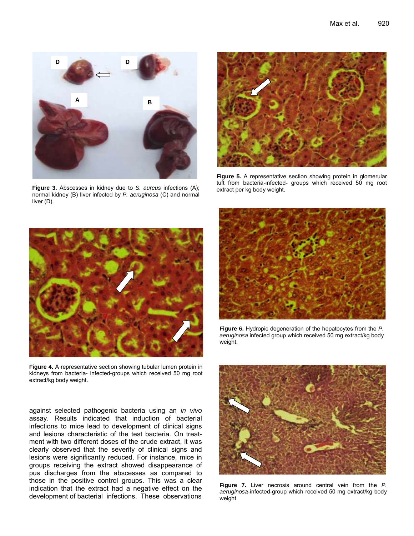

**Figure 3.** Abscesses in kidney due to *S. aureus* infections (A); normal kidney (B) liver infected by *P. aeruginosa* (C) and normal liver (D).



**Figure 5.** A representative section showing protein in glomerular tuft from bacteria-infected- groups which received 50 mg root extract per kg body weight.



**Figure 4.** A representative section showing tubular lumen protein in kidneys from bacteria- infected-groups which received 50 mg root extract/kg body weight.

against selected pathogenic bacteria using an *in vivo* assay. Results indicated that induction of bacterial infections to mice lead to development of clinical signs and lesions characteristic of the test bacteria. On treatment with two different doses of the crude extract, it was clearly observed that the severity of clinical signs and lesions were significantly reduced. For instance, mice in groups receiving the extract showed disappearance of pus discharges from the abscesses as compared to those in the positive control groups. This was a clear indication that the extract had a negative effect on the development of bacterial infections. These observations



**Figure 6.** Hydropic degeneration of the hepatocytes from the *P. aeruginosa* infected group which received 50 mg extract/kg body weight.



**Figure 7.** Liver necrosis around central vein from the *P. aeruginosa*-infected-group which received 50 mg extract/kg body weight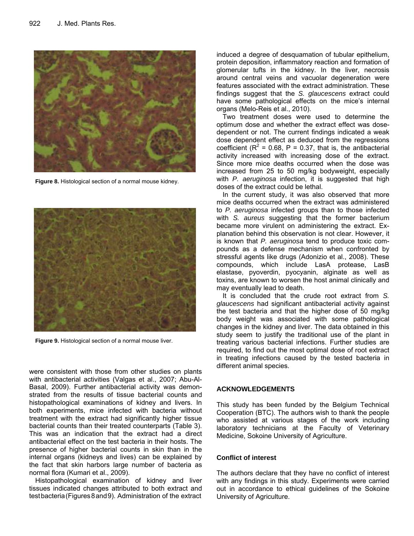

**Figure 8.** Histological section of a normal mouse kidney.



**Figure 9.** Histological section of a normal mouse liver.

were consistent with those from other studies on plants with antibacterial activities (Valgas et al., 2007; Abu-Al-Basal, 2009). Further antibacterial activity was demonstrated from the results of tissue bacterial counts and histopathological examinations of kidney and livers. In both experiments, mice infected with bacteria without treatment with the extract had significantly higher tissue bacterial counts than their treated counterparts (Table 3). This was an indication that the extract had a direct antibacterial effect on the test bacteria in their hosts. The presence of higher bacterial counts in skin than in the internal organs (kidneys and lives) can be explained by the fact that skin harbors large number of bacteria as normal flora (Kumari et al., 2009).

Histopathological examination of kidney and liver tissues indicated changes attributed to both extract and testbacteria(Figures8and9). Administration of the extract

induced a degree of desquamation of tubular epithelium, protein deposition, inflammatory reaction and formation of glomerular tufts in the kidney. In the liver, necrosis around central veins and vacuolar degeneration were features associated with the extract administration. These findings suggest that the *S. glaucescens* extract could have some pathological effects on the mice's internal organs (Melo-Reis et al., 2010).

Two treatment doses were used to determine the optimum dose and whether the extract effect was dosedependent or not. The current findings indicated a weak dose dependent effect as deduced from the regressions coefficient ( $R^2$  = 0.68, P = 0.37, that is, the antibacterial activity increased with increasing dose of the extract. Since more mice deaths occurred when the dose was increased from 25 to 50 mg/kg bodyweight, especially with *P. aeruginosa* infection, it is suggested that high doses of the extract could be lethal.

In the current study, it was also observed that more mice deaths occurred when the extract was administered to *P. aeruginosa* infected groups than to those infected with *S. aureus* suggesting that the former bacterium became more virulent on administering the extract. Explanation behind this observation is not clear. However, it is known that *P. aeruginosa* tend to produce toxic compounds as a defense mechanism when confronted by stressful agents like drugs (Adonizio et al., 2008). These compounds, which include LasA protease, LasB elastase, pyoverdin, pyocyanin, alginate as well as toxins, are known to worsen the host animal clinically and may eventually lead to death.

It is concluded that the crude root extract from *S. glaucescens* had significant antibacterial activity against the test bacteria and that the higher dose of 50 mg/kg body weight was associated with some pathological changes in the kidney and liver. The data obtained in this study seem to justify the traditional use of the plant in treating various bacterial infections. Further studies are required, to find out the most optimal dose of root extract in treating infections caused by the tested bacteria in different animal species.

# **ACKNOWLEDGEMENTS**

This study has been funded by the Belgium Technical Cooperation (BTC). The authors wish to thank the people who assisted at various stages of the work including laboratory technicians at the Faculty of Veterinary Medicine, Sokoine University of Agriculture.

# **Conflict of interest**

The authors declare that they have no conflict of interest with any findings in this study. Experiments were carried out in accordance to ethical guidelines of the Sokoine University of Agriculture.